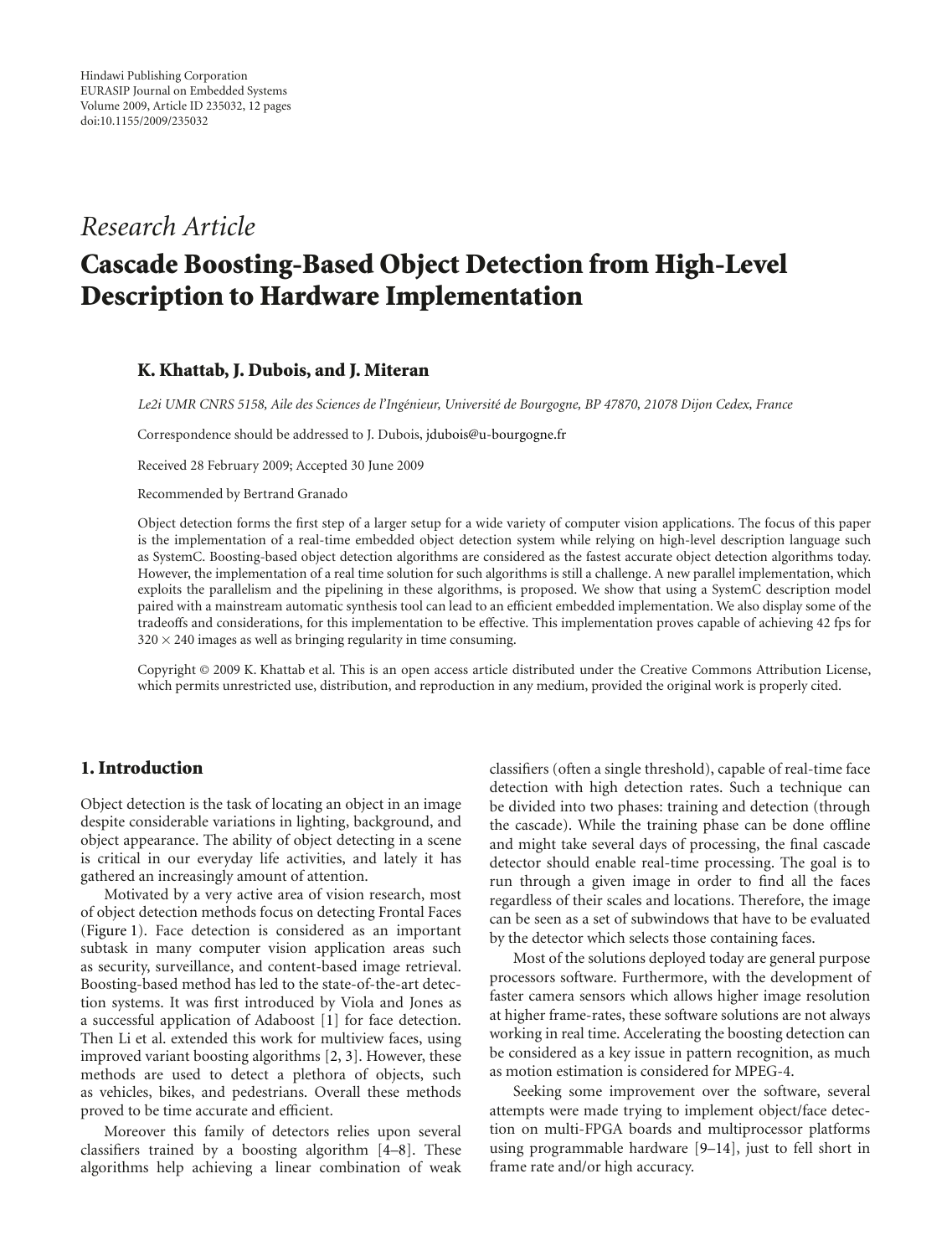## *Research Article*

# **Cascade Boosting-Based Object Detection from High-Level Description to Hardware Implementation**

#### **K. Khattab, J. Dubois, and J. Miteran**

*Le2i UMR CNRS 5158, Aile des Sciences de l'Ing´enieur, Universit´e de Bourgogne, BP 47870, 21078 Dijon Cedex, France*

Correspondence should be addressed to J. Dubois, jdubois@u-bourgogne.fr

Received 28 February 2009; Accepted 30 June 2009

Recommended by Bertrand Granado

Object detection forms the first step of a larger setup for a wide variety of computer vision applications. The focus of this paper is the implementation of a real-time embedded object detection system while relying on high-level description language such as SystemC. Boosting-based object detection algorithms are considered as the fastest accurate object detection algorithms today. However, the implementation of a real time solution for such algorithms is still a challenge. A new parallel implementation, which exploits the parallelism and the pipelining in these algorithms, is proposed. We show that using a SystemC description model paired with a mainstream automatic synthesis tool can lead to an efficient embedded implementation. We also display some of the tradeoffs and considerations, for this implementation to be effective. This implementation proves capable of achieving 42 fps for  $320 \times 240$  images as well as bringing regularity in time consuming.

Copyright © 2009 K. Khattab et al. This is an open access article distributed under the Creative Commons Attribution License, which permits unrestricted use, distribution, and reproduction in any medium, provided the original work is properly cited.

## **1. Introduction**

Object detection is the task of locating an object in an image despite considerable variations in lighting, background, and object appearance. The ability of object detecting in a scene is critical in our everyday life activities, and lately it has gathered an increasingly amount of attention.

Motivated by a very active area of vision research, most of object detection methods focus on detecting Frontal Faces (Figure 1). Face detection is considered as an important subtask in many computer vision application areas such as security, surveillance, and content-based image retrieval. Boosting-based method has led to the state-of-the-art detection systems. It was first introduced by Viola and Jones as a successful application of Adaboost [1] for face detection. Then Li et al. extended this work for multiview faces, using improved variant boosting algorithms [2, 3]. However, these methods are used to detect a plethora of objects, such as vehicles, bikes, and pedestrians. Overall these methods proved to be time accurate and efficient.

Moreover this family of detectors relies upon several classifiers trained by a boosting algorithm [4–8]. These algorithms help achieving a linear combination of weak

classifiers (often a single threshold), capable of real-time face detection with high detection rates. Such a technique can be divided into two phases: training and detection (through the cascade). While the training phase can be done offline and might take several days of processing, the final cascade detector should enable real-time processing. The goal is to run through a given image in order to find all the faces regardless of their scales and locations. Therefore, the image can be seen as a set of subwindows that have to be evaluated by the detector which selects those containing faces.

Most of the solutions deployed today are general purpose processors software. Furthermore, with the development of faster camera sensors which allows higher image resolution at higher frame-rates, these software solutions are not always working in real time. Accelerating the boosting detection can be considered as a key issue in pattern recognition, as much as motion estimation is considered for MPEG-4.

Seeking some improvement over the software, several attempts were made trying to implement object/face detection on multi-FPGA boards and multiprocessor platforms using programmable hardware [9–14], just to fell short in frame rate and/or high accuracy.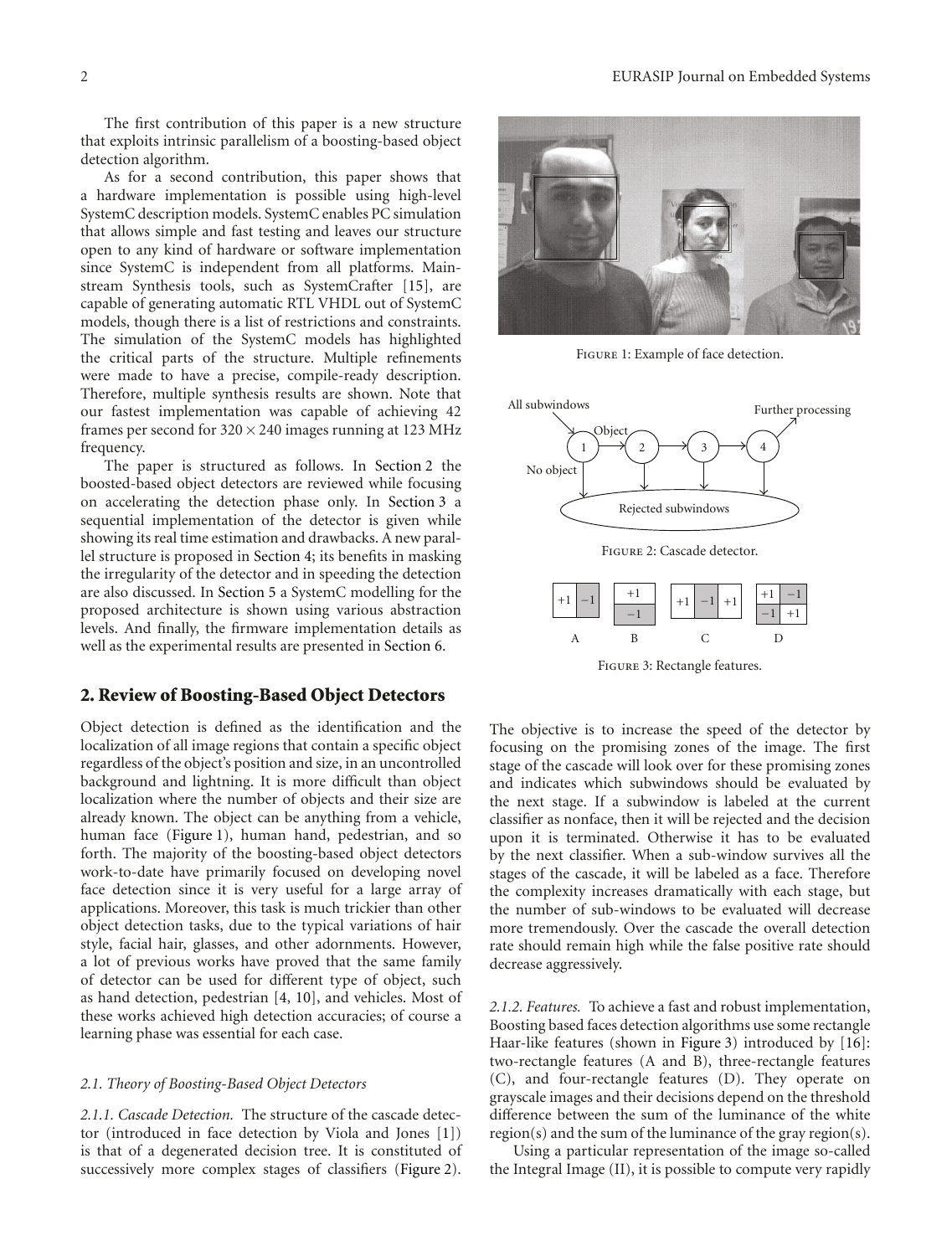The first contribution of this paper is a new structure that exploits intrinsic parallelism of a boosting-based object detection algorithm.

As for a second contribution, this paper shows that a hardware implementation is possible using high-level SystemC description models. SystemC enables PC simulation that allows simple and fast testing and leaves our structure open to any kind of hardware or software implementation since SystemC is independent from all platforms. Mainstream Synthesis tools, such as SystemCrafter [15], are capable of generating automatic RTL VHDL out of SystemC models, though there is a list of restrictions and constraints. The simulation of the SystemC models has highlighted the critical parts of the structure. Multiple refinements were made to have a precise, compile-ready description. Therefore, multiple synthesis results are shown. Note that our fastest implementation was capable of achieving 42 frames per second for  $320 \times 240$  images running at 123 MHz frequency.

The paper is structured as follows. In Section 2 the boosted-based object detectors are reviewed while focusing on accelerating the detection phase only. In Section 3 a sequential implementation of the detector is given while showing its real time estimation and drawbacks. A new parallel structure is proposed in Section 4; its benefits in masking the irregularity of the detector and in speeding the detection are also discussed. In Section 5 a SystemC modelling for the proposed architecture is shown using various abstraction levels. And finally, the firmware implementation details as well as the experimental results are presented in Section 6.

#### **2. Review of Boosting-Based Object Detectors**

Object detection is defined as the identification and the localization of all image regions that contain a specific object regardless of the object's position and size, in an uncontrolled background and lightning. It is more difficult than object localization where the number of objects and their size are already known. The object can be anything from a vehicle, human face (Figure 1), human hand, pedestrian, and so forth. The majority of the boosting-based object detectors work-to-date have primarily focused on developing novel face detection since it is very useful for a large array of applications. Moreover, this task is much trickier than other object detection tasks, due to the typical variations of hair style, facial hair, glasses, and other adornments. However, a lot of previous works have proved that the same family of detector can be used for different type of object, such as hand detection, pedestrian [4, 10], and vehicles. Most of these works achieved high detection accuracies; of course a learning phase was essential for each case.

#### *2.1. Theory of Boosting-Based Object Detectors*

*2.1.1. Cascade Detection.* The structure of the cascade detector (introduced in face detection by Viola and Jones [1]) is that of a degenerated decision tree. It is constituted of successively more complex stages of classifiers (Figure 2).



FIGURE 1: Example of face detection.



Figure 3: Rectangle features.

The objective is to increase the speed of the detector by focusing on the promising zones of the image. The first stage of the cascade will look over for these promising zones and indicates which subwindows should be evaluated by the next stage. If a subwindow is labeled at the current classifier as nonface, then it will be rejected and the decision upon it is terminated. Otherwise it has to be evaluated by the next classifier. When a sub-window survives all the stages of the cascade, it will be labeled as a face. Therefore the complexity increases dramatically with each stage, but the number of sub-windows to be evaluated will decrease more tremendously. Over the cascade the overall detection rate should remain high while the false positive rate should decrease aggressively.

*2.1.2. Features.* To achieve a fast and robust implementation, Boosting based faces detection algorithms use some rectangle Haar-like features (shown in Figure 3) introduced by [16]: two-rectangle features (A and B), three-rectangle features (C), and four-rectangle features (D). They operate on grayscale images and their decisions depend on the threshold difference between the sum of the luminance of the white region(s) and the sum of the luminance of the gray region(s).

Using a particular representation of the image so-called the Integral Image (II), it is possible to compute very rapidly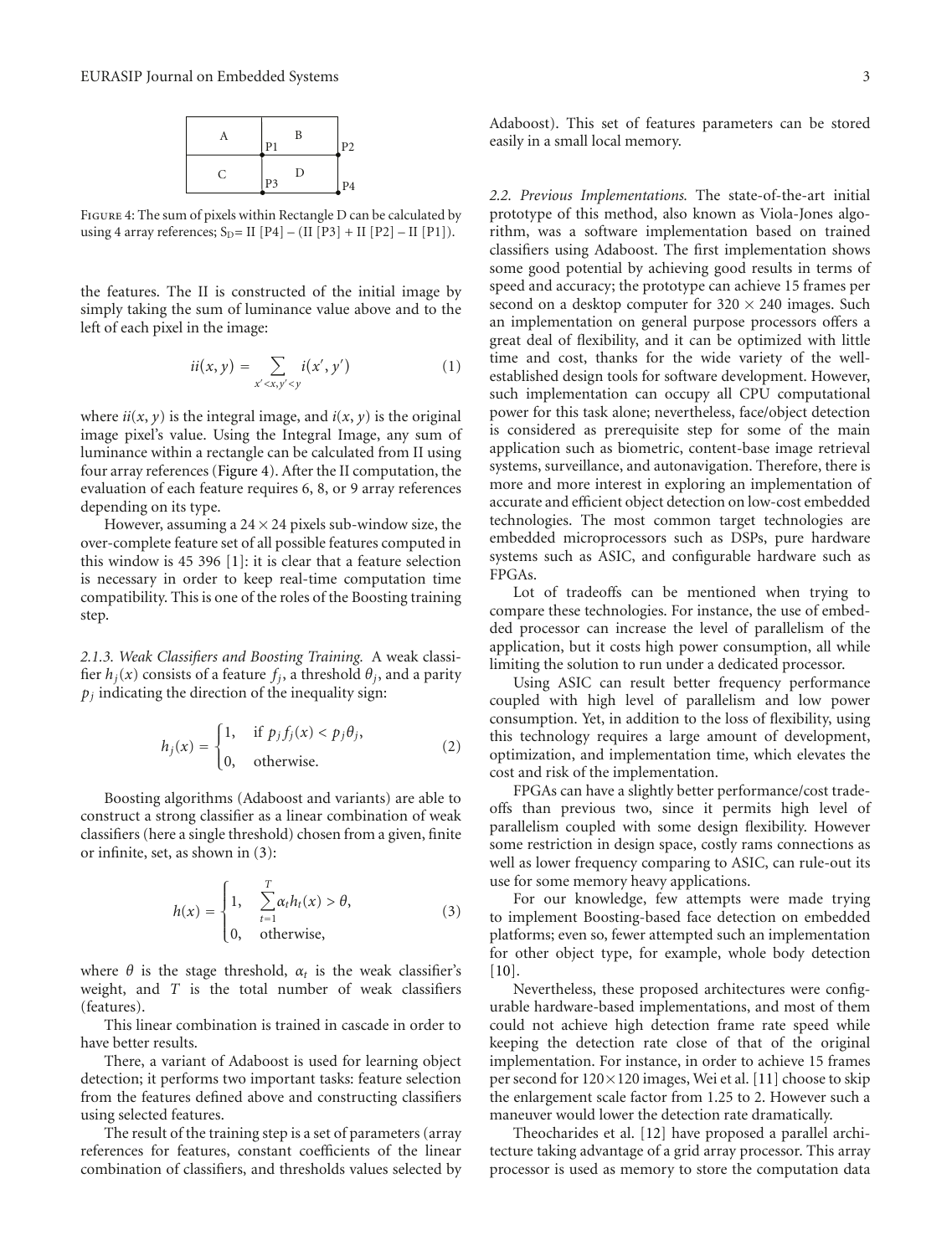

Figure 4: The sum of pixels within Rectangle D can be calculated by using 4 array references;  $S_D=$  II  $[P4] - (II [P3] + II [P2] - II [P1])$ .

the features. The II is constructed of the initial image by simply taking the sum of luminance value above and to the left of each pixel in the image:

$$
ii(x, y) = \sum_{x' < x, y' < y} i(x', y') \tag{1}
$$

where  $ii(x, y)$  is the integral image, and  $i(x, y)$  is the original image pixel's value. Using the Integral Image, any sum of luminance within a rectangle can be calculated from II using four array references (Figure 4). After the II computation, the evaluation of each feature requires 6, 8, or 9 array references depending on its type.

However, assuming a  $24 \times 24$  pixels sub-window size, the over-complete feature set of all possible features computed in this window is 45 396 [1]: it is clear that a feature selection is necessary in order to keep real-time computation time compatibility. This is one of the roles of the Boosting training step.

*2.1.3. Weak Classifiers and Boosting Training.* A weak classifier  $h_j(x)$  consists of a feature  $f_j$ , a threshold  $\theta_j$ , and a parity  $p_j$  indicating the direction of the inequality sign:

$$
h_j(x) = \begin{cases} 1, & \text{if } p_j f_j(x) < p_j \theta_j, \\ 0, & \text{otherwise.} \end{cases} \tag{2}
$$

Boosting algorithms (Adaboost and variants) are able to construct a strong classifier as a linear combination of weak classifiers (here a single threshold) chosen from a given, finite or infinite, set, as shown in (3):

$$
h(x) = \begin{cases} 1, & \sum_{t=1}^{T} \alpha_t h_t(x) > \theta, \\ 0, & \text{otherwise,} \end{cases}
$$
(3)

where  $\theta$  is the stage threshold,  $\alpha_t$  is the weak classifier's weight, and *T* is the total number of weak classifiers (features).

This linear combination is trained in cascade in order to have better results.

There, a variant of Adaboost is used for learning object detection; it performs two important tasks: feature selection from the features defined above and constructing classifiers using selected features.

The result of the training step is a set of parameters (array references for features, constant coefficients of the linear combination of classifiers, and thresholds values selected by *2.2. Previous Implementations.* The state-of-the-art initial prototype of this method, also known as Viola-Jones algorithm, was a software implementation based on trained classifiers using Adaboost. The first implementation shows some good potential by achieving good results in terms of speed and accuracy; the prototype can achieve 15 frames per second on a desktop computer for  $320 \times 240$  images. Such an implementation on general purpose processors offers a great deal of flexibility, and it can be optimized with little time and cost, thanks for the wide variety of the wellestablished design tools for software development. However, such implementation can occupy all CPU computational power for this task alone; nevertheless, face/object detection is considered as prerequisite step for some of the main application such as biometric, content-base image retrieval systems, surveillance, and autonavigation. Therefore, there is more and more interest in exploring an implementation of accurate and efficient object detection on low-cost embedded technologies. The most common target technologies are embedded microprocessors such as DSPs, pure hardware systems such as ASIC, and configurable hardware such as FPGAs.

Lot of tradeoffs can be mentioned when trying to compare these technologies. For instance, the use of embedded processor can increase the level of parallelism of the application, but it costs high power consumption, all while limiting the solution to run under a dedicated processor.

Using ASIC can result better frequency performance coupled with high level of parallelism and low power consumption. Yet, in addition to the loss of flexibility, using this technology requires a large amount of development, optimization, and implementation time, which elevates the cost and risk of the implementation.

FPGAs can have a slightly better performance/cost tradeoffs than previous two, since it permits high level of parallelism coupled with some design flexibility. However some restriction in design space, costly rams connections as well as lower frequency comparing to ASIC, can rule-out its use for some memory heavy applications.

For our knowledge, few attempts were made trying to implement Boosting-based face detection on embedded platforms; even so, fewer attempted such an implementation for other object type, for example, whole body detection  $[10]$ .

Nevertheless, these proposed architectures were configurable hardware-based implementations, and most of them could not achieve high detection frame rate speed while keeping the detection rate close of that of the original implementation. For instance, in order to achieve 15 frames per second for  $120 \times 120$  images, Wei et al. [11] choose to skip the enlargement scale factor from 1.25 to 2. However such a maneuver would lower the detection rate dramatically.

Theocharides et al. [12] have proposed a parallel architecture taking advantage of a grid array processor. This array processor is used as memory to store the computation data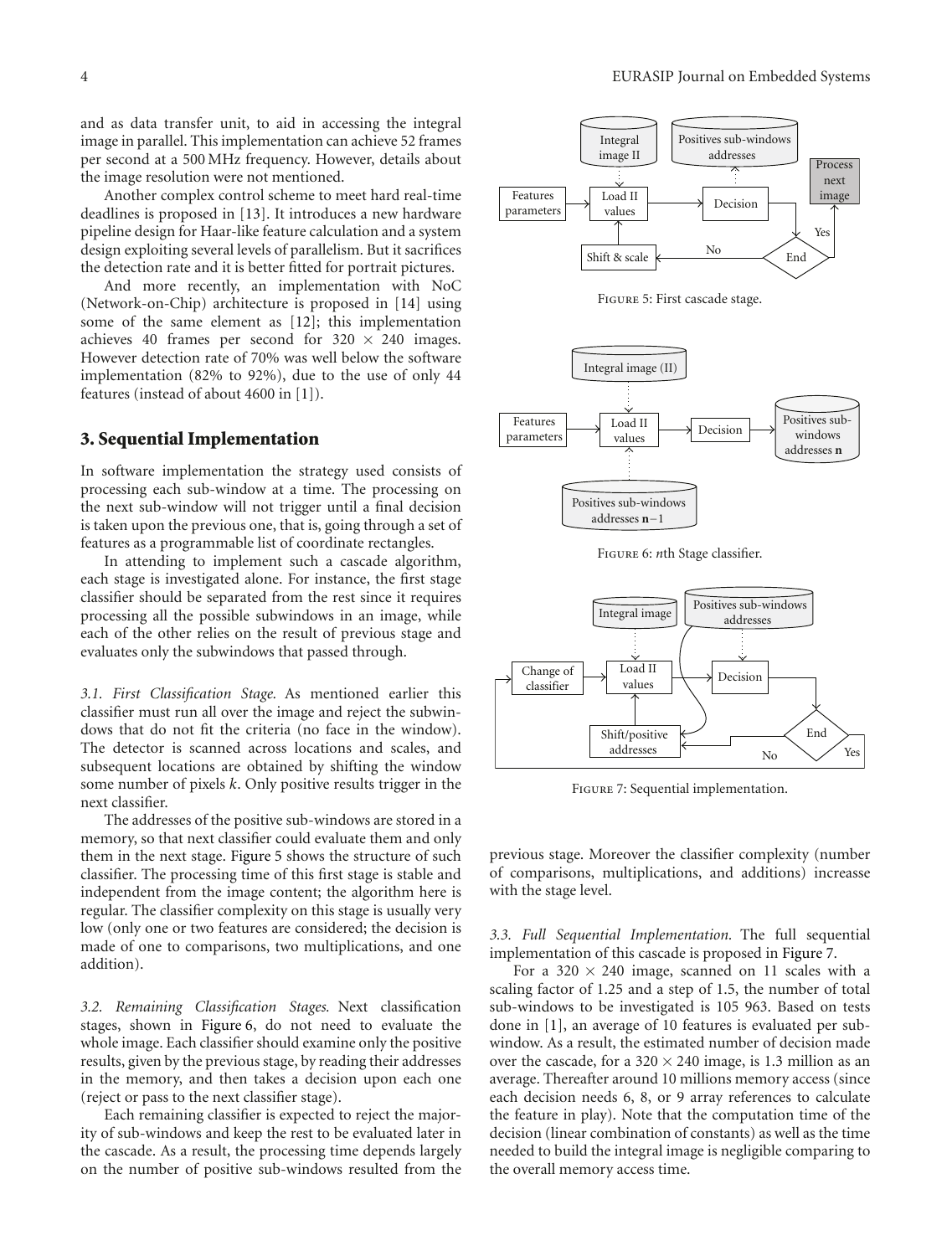and as data transfer unit, to aid in accessing the integral image in parallel. This implementation can achieve 52 frames per second at a 500 MHz frequency. However, details about the image resolution were not mentioned.

Another complex control scheme to meet hard real-time deadlines is proposed in [13]. It introduces a new hardware pipeline design for Haar-like feature calculation and a system design exploiting several levels of parallelism. But it sacrifices the detection rate and it is better fitted for portrait pictures.

And more recently, an implementation with NoC (Network-on-Chip) architecture is proposed in [14] using some of the same element as [12]; this implementation achieves 40 frames per second for  $320 \times 240$  images. However detection rate of 70% was well below the software implementation (82% to 92%), due to the use of only 44 features (instead of about 4600 in [1]).

#### **3. Sequential Implementation**

In software implementation the strategy used consists of processing each sub-window at a time. The processing on the next sub-window will not trigger until a final decision is taken upon the previous one, that is, going through a set of features as a programmable list of coordinate rectangles.

In attending to implement such a cascade algorithm, each stage is investigated alone. For instance, the first stage classifier should be separated from the rest since it requires processing all the possible subwindows in an image, while each of the other relies on the result of previous stage and evaluates only the subwindows that passed through.

*3.1. First Classification Stage.* As mentioned earlier this classifier must run all over the image and reject the subwindows that do not fit the criteria (no face in the window). The detector is scanned across locations and scales, and subsequent locations are obtained by shifting the window some number of pixels *k*. Only positive results trigger in the next classifier.

The addresses of the positive sub-windows are stored in a memory, so that next classifier could evaluate them and only them in the next stage. Figure 5 shows the structure of such classifier. The processing time of this first stage is stable and independent from the image content; the algorithm here is regular. The classifier complexity on this stage is usually very low (only one or two features are considered; the decision is made of one to comparisons, two multiplications, and one addition).

*3.2. Remaining Classification Stages.* Next classification stages, shown in Figure 6, do not need to evaluate the whole image. Each classifier should examine only the positive results, given by the previous stage, by reading their addresses in the memory, and then takes a decision upon each one (reject or pass to the next classifier stage).

Each remaining classifier is expected to reject the majority of sub-windows and keep the rest to be evaluated later in the cascade. As a result, the processing time depends largely on the number of positive sub-windows resulted from the







FIGURE 6: *nth* Stage classifier.



Figure 7: Sequential implementation.

previous stage. Moreover the classifier complexity (number of comparisons, multiplications, and additions) increasse with the stage level.

*3.3. Full Sequential Implementation.* The full sequential implementation of this cascade is proposed in Figure 7.

For a  $320 \times 240$  image, scanned on 11 scales with a scaling factor of 1.25 and a step of 1.5, the number of total sub-windows to be investigated is 105 963. Based on tests done in [1], an average of 10 features is evaluated per subwindow. As a result, the estimated number of decision made over the cascade, for a  $320 \times 240$  image, is 1.3 million as an average. Thereafter around 10 millions memory access (since each decision needs 6, 8, or 9 array references to calculate the feature in play). Note that the computation time of the decision (linear combination of constants) as well as the time needed to build the integral image is negligible comparing to the overall memory access time.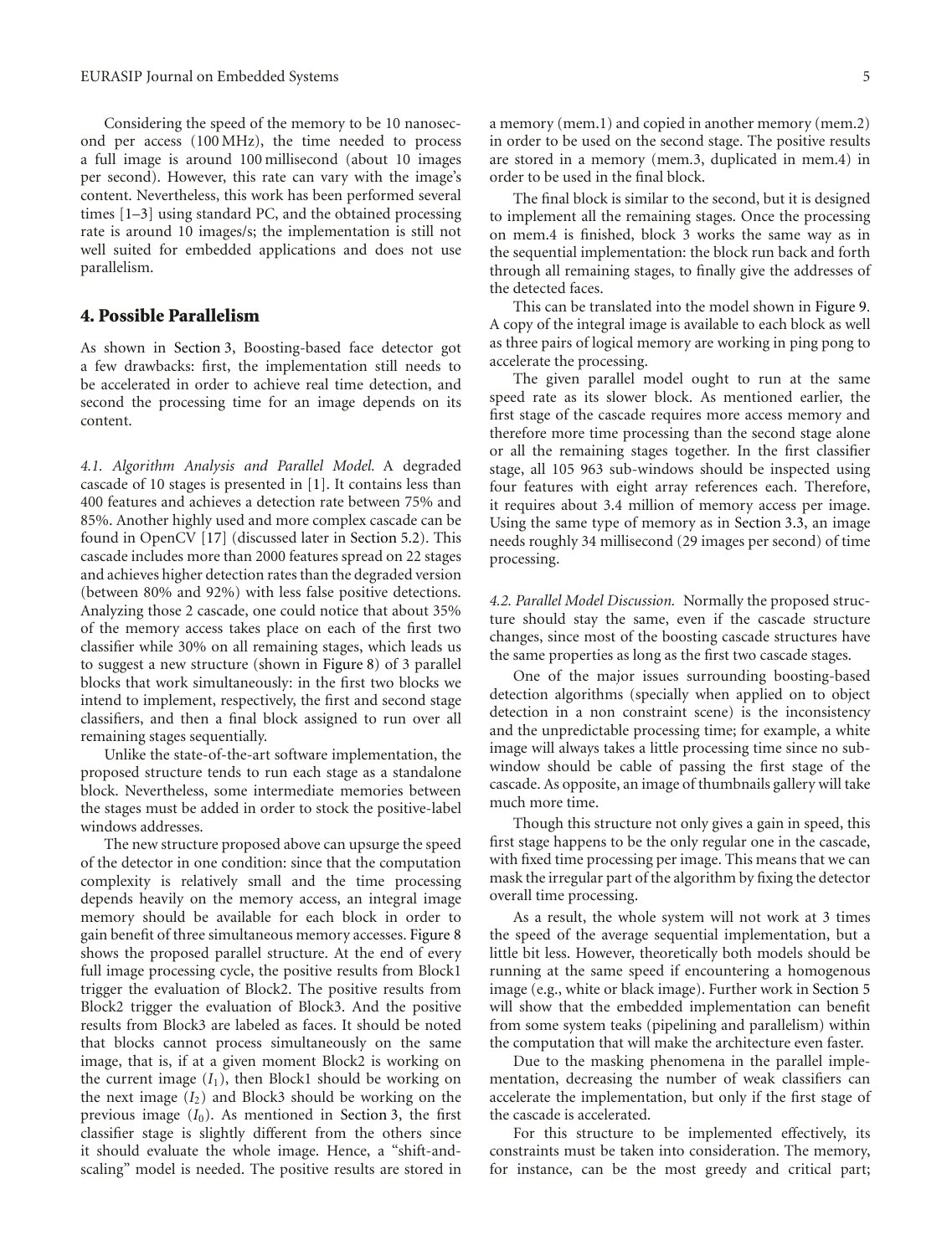Considering the speed of the memory to be 10 nanosecond per access (100 MHz), the time needed to process a full image is around 100 millisecond (about 10 images per second). However, this rate can vary with the image's content. Nevertheless, this work has been performed several times [1–3] using standard PC, and the obtained processing rate is around 10 images/s; the implementation is still not well suited for embedded applications and does not use parallelism.

## **4. Possible Parallelism**

As shown in Section 3, Boosting-based face detector got a few drawbacks: first, the implementation still needs to be accelerated in order to achieve real time detection, and second the processing time for an image depends on its content.

*4.1. Algorithm Analysis and Parallel Model.* A degraded cascade of 10 stages is presented in [1]. It contains less than 400 features and achieves a detection rate between 75% and 85%. Another highly used and more complex cascade can be found in OpenCV [17] (discussed later in Section 5.2). This cascade includes more than 2000 features spread on 22 stages and achieves higher detection rates than the degraded version (between 80% and 92%) with less false positive detections. Analyzing those 2 cascade, one could notice that about 35% of the memory access takes place on each of the first two classifier while 30% on all remaining stages, which leads us to suggest a new structure (shown in Figure 8) of 3 parallel blocks that work simultaneously: in the first two blocks we intend to implement, respectively, the first and second stage classifiers, and then a final block assigned to run over all remaining stages sequentially.

Unlike the state-of-the-art software implementation, the proposed structure tends to run each stage as a standalone block. Nevertheless, some intermediate memories between the stages must be added in order to stock the positive-label windows addresses.

The new structure proposed above can upsurge the speed of the detector in one condition: since that the computation complexity is relatively small and the time processing depends heavily on the memory access, an integral image memory should be available for each block in order to gain benefit of three simultaneous memory accesses. Figure 8 shows the proposed parallel structure. At the end of every full image processing cycle, the positive results from Block1 trigger the evaluation of Block2. The positive results from Block2 trigger the evaluation of Block3. And the positive results from Block3 are labeled as faces. It should be noted that blocks cannot process simultaneously on the same image, that is, if at a given moment Block2 is working on the current image  $(I_1)$ , then Block1 should be working on the next image  $(I_2)$  and Block3 should be working on the previous image (*I*0). As mentioned in Section 3, the first classifier stage is slightly different from the others since it should evaluate the whole image. Hence, a "shift-andscaling" model is needed. The positive results are stored in a memory (mem.1) and copied in another memory (mem.2) in order to be used on the second stage. The positive results are stored in a memory (mem.3, duplicated in mem.4) in order to be used in the final block.

The final block is similar to the second, but it is designed to implement all the remaining stages. Once the processing on mem.4 is finished, block 3 works the same way as in the sequential implementation: the block run back and forth through all remaining stages, to finally give the addresses of the detected faces.

This can be translated into the model shown in Figure 9. A copy of the integral image is available to each block as well as three pairs of logical memory are working in ping pong to accelerate the processing.

The given parallel model ought to run at the same speed rate as its slower block. As mentioned earlier, the first stage of the cascade requires more access memory and therefore more time processing than the second stage alone or all the remaining stages together. In the first classifier stage, all 105 963 sub-windows should be inspected using four features with eight array references each. Therefore, it requires about 3.4 million of memory access per image. Using the same type of memory as in Section 3.3, an image needs roughly 34 millisecond (29 images per second) of time processing.

*4.2. Parallel Model Discussion.* Normally the proposed structure should stay the same, even if the cascade structure changes, since most of the boosting cascade structures have the same properties as long as the first two cascade stages.

One of the major issues surrounding boosting-based detection algorithms (specially when applied on to object detection in a non constraint scene) is the inconsistency and the unpredictable processing time; for example, a white image will always takes a little processing time since no subwindow should be cable of passing the first stage of the cascade. As opposite, an image of thumbnails gallery will take much more time.

Though this structure not only gives a gain in speed, this first stage happens to be the only regular one in the cascade, with fixed time processing per image. This means that we can mask the irregular part of the algorithm by fixing the detector overall time processing.

As a result, the whole system will not work at 3 times the speed of the average sequential implementation, but a little bit less. However, theoretically both models should be running at the same speed if encountering a homogenous image (e.g., white or black image). Further work in Section 5 will show that the embedded implementation can benefit from some system teaks (pipelining and parallelism) within the computation that will make the architecture even faster.

Due to the masking phenomena in the parallel implementation, decreasing the number of weak classifiers can accelerate the implementation, but only if the first stage of the cascade is accelerated.

For this structure to be implemented effectively, its constraints must be taken into consideration. The memory, for instance, can be the most greedy and critical part;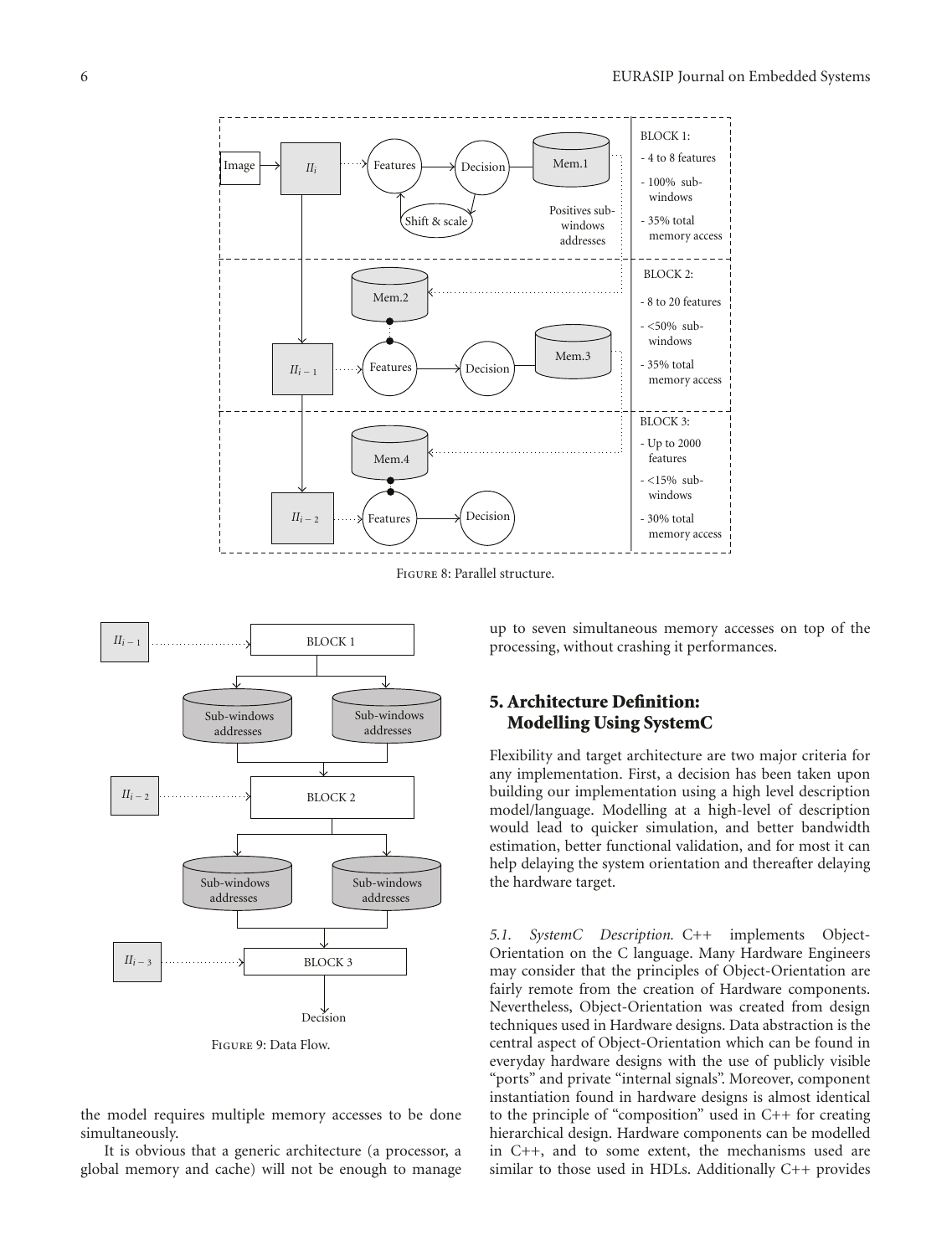

Figure 8: Parallel structure.



Figure 9: Data Flow.

the model requires multiple memory accesses to be done simultaneously.

It is obvious that a generic architecture (a processor, a global memory and cache) will not be enough to manage up to seven simultaneous memory accesses on top of the processing, without crashing it performances.

## **5. Architecture Definition: Modelling Using SystemC**

Flexibility and target architecture are two major criteria for any implementation. First, a decision has been taken upon building our implementation using a high level description model/language. Modelling at a high-level of description would lead to quicker simulation, and better bandwidth estimation, better functional validation, and for most it can help delaying the system orientation and thereafter delaying the hardware target.

*5.1. SystemC Description.* C++ implements Object-Orientation on the C language. Many Hardware Engineers may consider that the principles of Object-Orientation are fairly remote from the creation of Hardware components. Nevertheless, Object-Orientation was created from design techniques used in Hardware designs. Data abstraction is the central aspect of Object-Orientation which can be found in everyday hardware designs with the use of publicly visible "ports" and private "internal signals". Moreover, component instantiation found in hardware designs is almost identical to the principle of "composition" used in C++ for creating hierarchical design. Hardware components can be modelled in C++, and to some extent, the mechanisms used are similar to those used in HDLs. Additionally C++ provides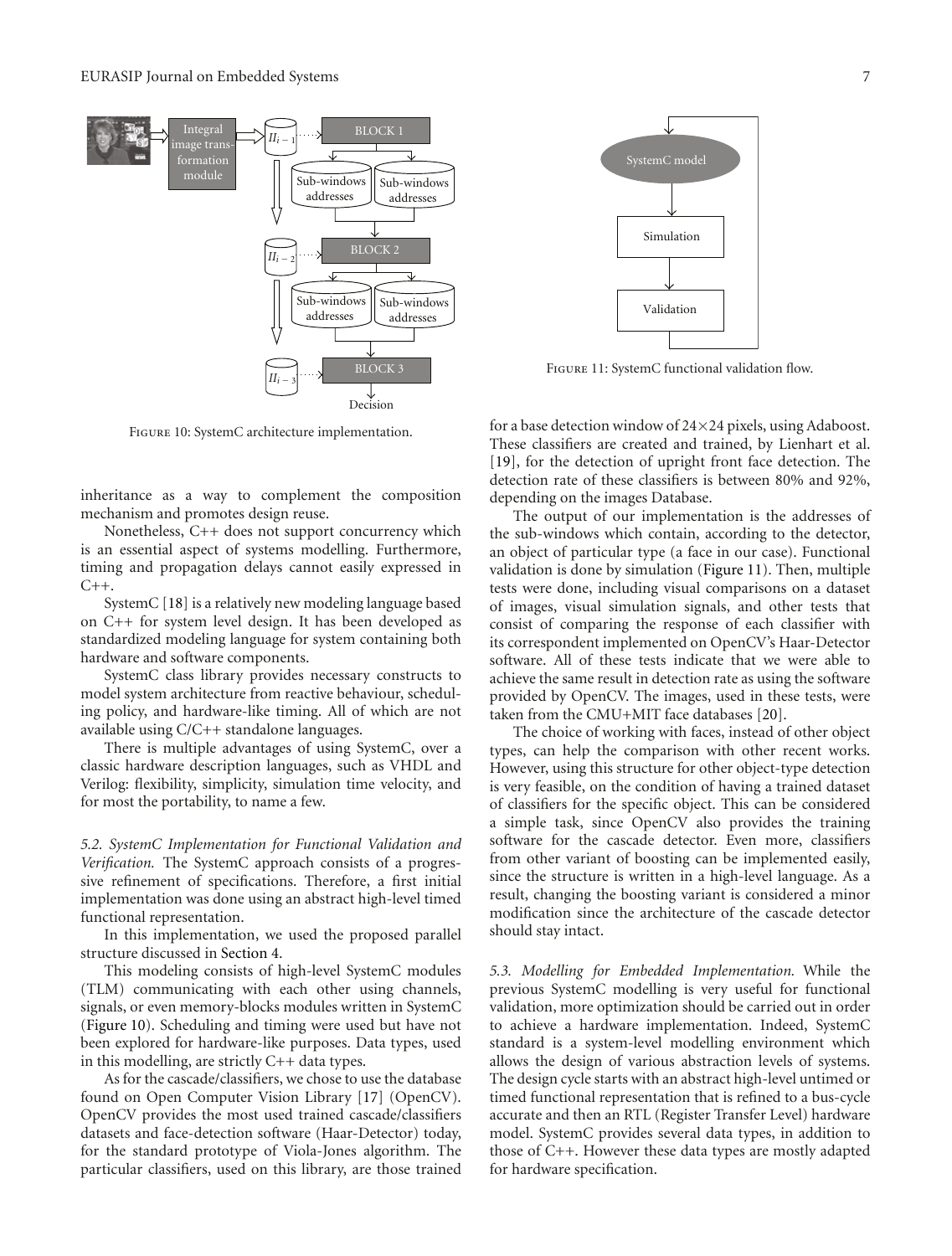

Figure 10: SystemC architecture implementation.

inheritance as a way to complement the composition mechanism and promotes design reuse.

Nonetheless, C++ does not support concurrency which is an essential aspect of systems modelling. Furthermore, timing and propagation delays cannot easily expressed in  $C++$ .

SystemC [18] is a relatively new modeling language based on C++ for system level design. It has been developed as standardized modeling language for system containing both hardware and software components.

SystemC class library provides necessary constructs to model system architecture from reactive behaviour, scheduling policy, and hardware-like timing. All of which are not available using C/C++ standalone languages.

There is multiple advantages of using SystemC, over a classic hardware description languages, such as VHDL and Verilog: flexibility, simplicity, simulation time velocity, and for most the portability, to name a few.

*5.2. SystemC Implementation for Functional Validation and Verification.* The SystemC approach consists of a progressive refinement of specifications. Therefore, a first initial implementation was done using an abstract high-level timed functional representation.

In this implementation, we used the proposed parallel structure discussed in Section 4.

This modeling consists of high-level SystemC modules (TLM) communicating with each other using channels, signals, or even memory-blocks modules written in SystemC (Figure 10). Scheduling and timing were used but have not been explored for hardware-like purposes. Data types, used in this modelling, are strictly C++ data types.

As for the cascade/classifiers, we chose to use the database found on Open Computer Vision Library [17] (OpenCV). OpenCV provides the most used trained cascade/classifiers datasets and face-detection software (Haar-Detector) today, for the standard prototype of Viola-Jones algorithm. The particular classifiers, used on this library, are those trained



Figure 11: SystemC functional validation flow.

for a base detection window of 24×24 pixels, using Adaboost. These classifiers are created and trained, by Lienhart et al. [19], for the detection of upright front face detection. The detection rate of these classifiers is between 80% and 92%, depending on the images Database.

The output of our implementation is the addresses of the sub-windows which contain, according to the detector, an object of particular type (a face in our case). Functional validation is done by simulation (Figure 11). Then, multiple tests were done, including visual comparisons on a dataset of images, visual simulation signals, and other tests that consist of comparing the response of each classifier with its correspondent implemented on OpenCV's Haar-Detector software. All of these tests indicate that we were able to achieve the same result in detection rate as using the software provided by OpenCV. The images, used in these tests, were taken from the CMU+MIT face databases [20].

The choice of working with faces, instead of other object types, can help the comparison with other recent works. However, using this structure for other object-type detection is very feasible, on the condition of having a trained dataset of classifiers for the specific object. This can be considered a simple task, since OpenCV also provides the training software for the cascade detector. Even more, classifiers from other variant of boosting can be implemented easily, since the structure is written in a high-level language. As a result, changing the boosting variant is considered a minor modification since the architecture of the cascade detector should stay intact.

*5.3. Modelling for Embedded Implementation.* While the previous SystemC modelling is very useful for functional validation, more optimization should be carried out in order to achieve a hardware implementation. Indeed, SystemC standard is a system-level modelling environment which allows the design of various abstraction levels of systems. The design cycle starts with an abstract high-level untimed or timed functional representation that is refined to a bus-cycle accurate and then an RTL (Register Transfer Level) hardware model. SystemC provides several data types, in addition to those of C++. However these data types are mostly adapted for hardware specification.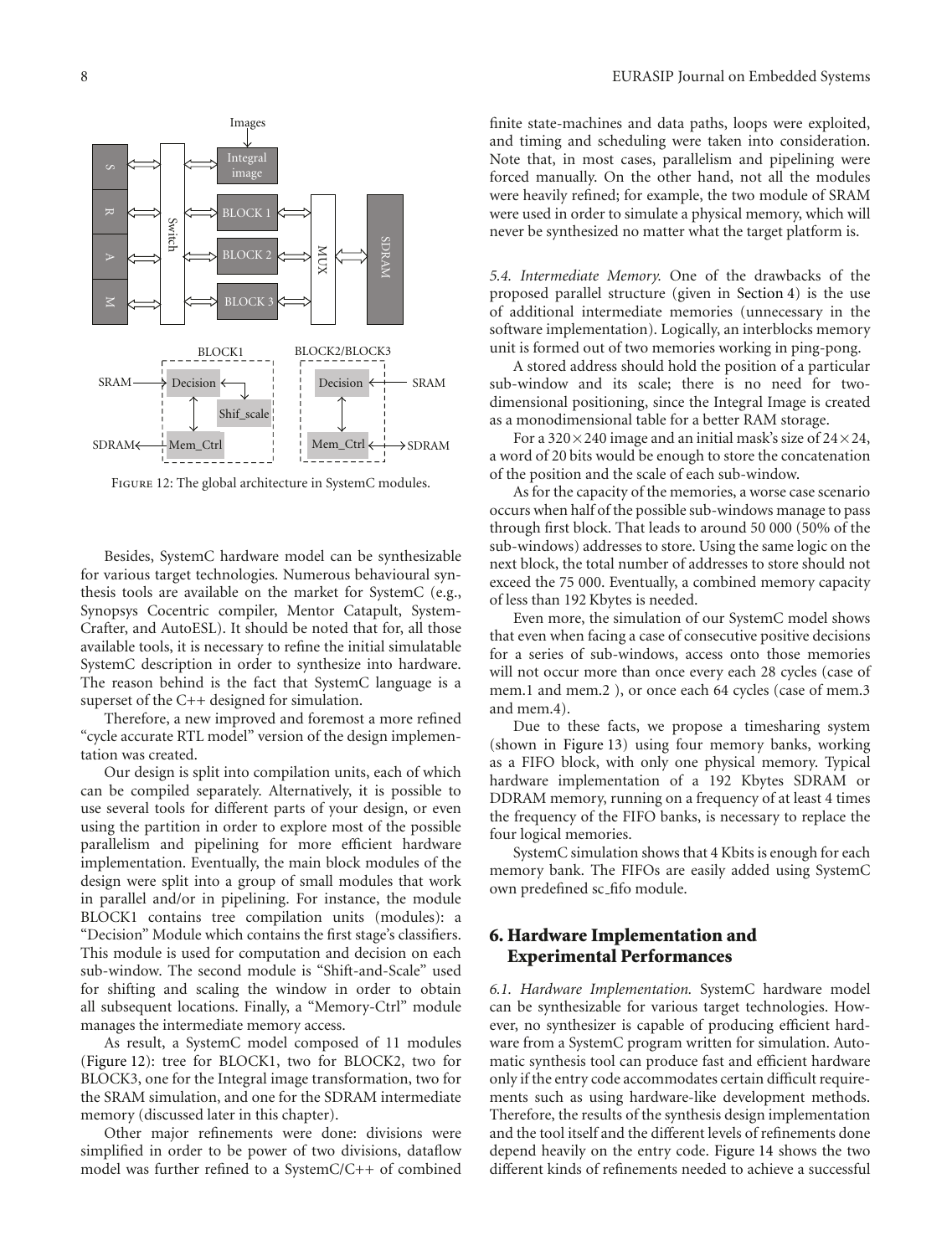

FIGURE 12: The global architecture in SystemC modules.

Besides, SystemC hardware model can be synthesizable for various target technologies. Numerous behavioural synthesis tools are available on the market for SystemC (e.g., Synopsys Cocentric compiler, Mentor Catapult, System-Crafter, and AutoESL). It should be noted that for, all those available tools, it is necessary to refine the initial simulatable SystemC description in order to synthesize into hardware. The reason behind is the fact that SystemC language is a superset of the C++ designed for simulation.

Therefore, a new improved and foremost a more refined "cycle accurate RTL model" version of the design implementation was created.

Our design is split into compilation units, each of which can be compiled separately. Alternatively, it is possible to use several tools for different parts of your design, or even using the partition in order to explore most of the possible parallelism and pipelining for more efficient hardware implementation. Eventually, the main block modules of the design were split into a group of small modules that work in parallel and/or in pipelining. For instance, the module BLOCK1 contains tree compilation units (modules): a "Decision" Module which contains the first stage's classifiers. This module is used for computation and decision on each sub-window. The second module is "Shift-and-Scale" used for shifting and scaling the window in order to obtain all subsequent locations. Finally, a "Memory-Ctrl" module manages the intermediate memory access.

As result, a SystemC model composed of 11 modules (Figure 12): tree for BLOCK1, two for BLOCK2, two for BLOCK3, one for the Integral image transformation, two for the SRAM simulation, and one for the SDRAM intermediate memory (discussed later in this chapter).

Other major refinements were done: divisions were simplified in order to be power of two divisions, dataflow model was further refined to a SystemC/C++ of combined

finite state-machines and data paths, loops were exploited, and timing and scheduling were taken into consideration. Note that, in most cases, parallelism and pipelining were forced manually. On the other hand, not all the modules were heavily refined; for example, the two module of SRAM were used in order to simulate a physical memory, which will never be synthesized no matter what the target platform is.

*5.4. Intermediate Memory.* One of the drawbacks of the proposed parallel structure (given in Section 4) is the use of additional intermediate memories (unnecessary in the software implementation). Logically, an interblocks memory unit is formed out of two memories working in ping-pong.

A stored address should hold the position of a particular sub-window and its scale; there is no need for twodimensional positioning, since the Integral Image is created as a monodimensional table for a better RAM storage.

For a  $320 \times 240$  image and an initial mask's size of  $24 \times 24$ , a word of 20 bits would be enough to store the concatenation of the position and the scale of each sub-window.

As for the capacity of the memories, a worse case scenario occurs when half of the possible sub-windows manage to pass through first block. That leads to around 50 000 (50% of the sub-windows) addresses to store. Using the same logic on the next block, the total number of addresses to store should not exceed the 75 000. Eventually, a combined memory capacity of less than 192 Kbytes is needed.

Even more, the simulation of our SystemC model shows that even when facing a case of consecutive positive decisions for a series of sub-windows, access onto those memories will not occur more than once every each 28 cycles (case of mem.1 and mem.2), or once each 64 cycles (case of mem.3 and mem.4).

Due to these facts, we propose a timesharing system (shown in Figure 13) using four memory banks, working as a FIFO block, with only one physical memory. Typical hardware implementation of a 192 Kbytes SDRAM or DDRAM memory, running on a frequency of at least 4 times the frequency of the FIFO banks, is necessary to replace the four logical memories.

SystemC simulation shows that 4 Kbits is enough for each memory bank. The FIFOs are easily added using SystemC own predefined sc fifo module.

## **6. Hardware Implementation and Experimental Performances**

*6.1. Hardware Implementation.* SystemC hardware model can be synthesizable for various target technologies. However, no synthesizer is capable of producing efficient hardware from a SystemC program written for simulation. Automatic synthesis tool can produce fast and efficient hardware only if the entry code accommodates certain difficult requirements such as using hardware-like development methods. Therefore, the results of the synthesis design implementation and the tool itself and the different levels of refinements done depend heavily on the entry code. Figure 14 shows the two different kinds of refinements needed to achieve a successful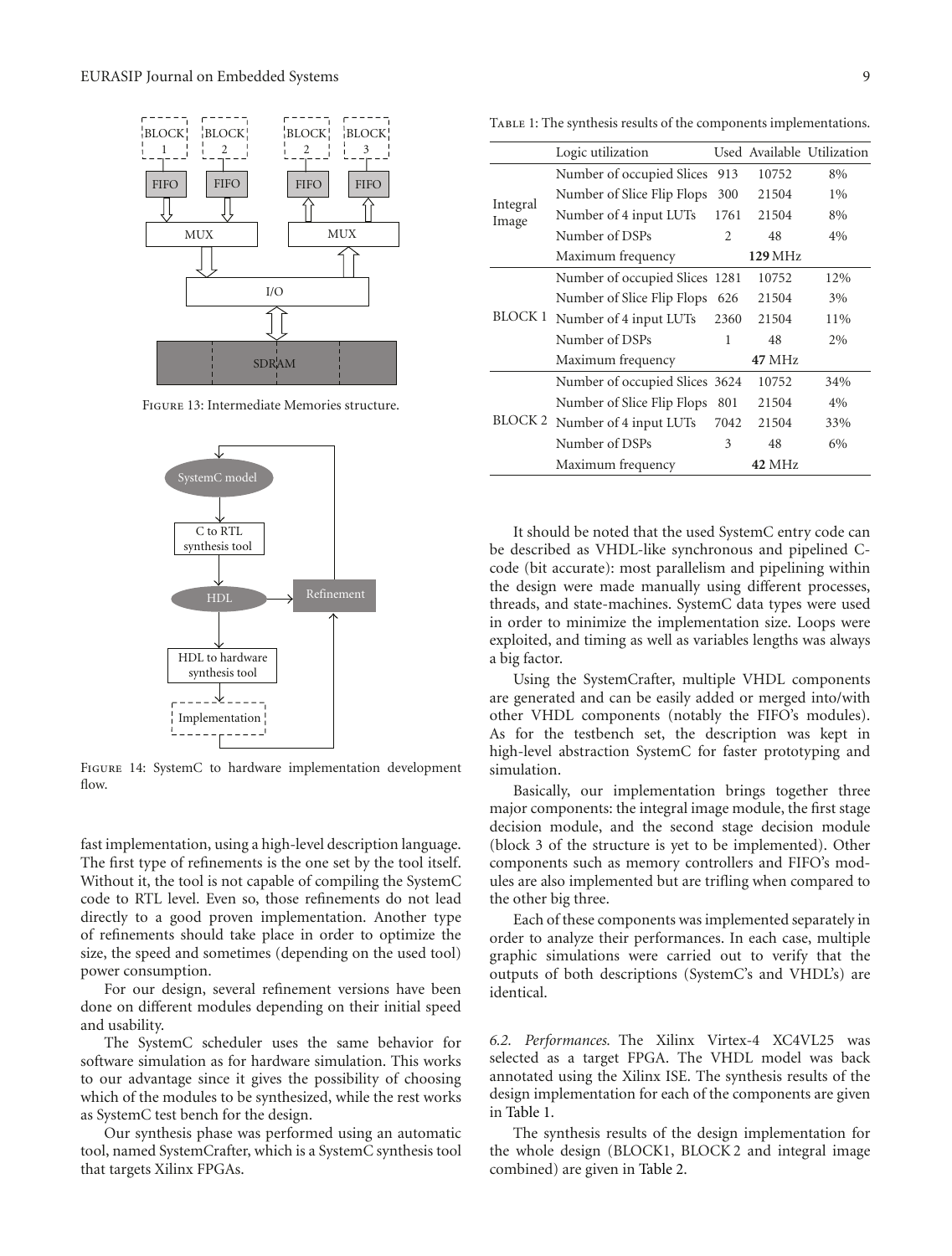

Figure 13: Intermediate Memories structure.



Figure 14: SystemC to hardware implementation development flow.

fast implementation, using a high-level description language. The first type of refinements is the one set by the tool itself. Without it, the tool is not capable of compiling the SystemC code to RTL level. Even so, those refinements do not lead directly to a good proven implementation. Another type of refinements should take place in order to optimize the size, the speed and sometimes (depending on the used tool) power consumption.

For our design, several refinement versions have been done on different modules depending on their initial speed and usability.

The SystemC scheduler uses the same behavior for software simulation as for hardware simulation. This works to our advantage since it gives the possibility of choosing which of the modules to be synthesized, while the rest works as SystemC test bench for the design.

Our synthesis phase was performed using an automatic tool, named SystemCrafter, which is a SystemC synthesis tool that targets Xilinx FPGAs.

|                   | Logic utilization              |                |                   | Used Available Utilization |
|-------------------|--------------------------------|----------------|-------------------|----------------------------|
| Integral<br>Image | Number of occupied Slices      | 913            | 10752             | 8%                         |
|                   | Number of Slice Flip Flops     | 300            | 21504             | $1\%$                      |
|                   | Number of 4 input LUTs         | 1761           | 21504             | 8%                         |
|                   | Number of DSPs                 | $\mathfrak{D}$ | 48                | 4%                         |
|                   | Maximum frequency              |                | 129 MHz           |                            |
|                   | Number of occupied Slices      | 1281           | 10752             | 12%                        |
|                   | Number of Slice Flip Flops     | 626            | 21504             | 3%                         |
|                   | BLOCK 1 Number of 4 input LUTs | 2360           | 21504             | 11%                        |
|                   | Number of DSPs                 | 1              | 48                | $2\%$                      |
|                   | Maximum frequency              |                | $47 \mathrm{MHz}$ |                            |
|                   | Number of occupied Slices 3624 |                | 10752             | 34%                        |
|                   | Number of Slice Flip Flops     | 801            | 21504             | 4%                         |
|                   | BLOCK 2 Number of 4 input LUTs | 7042           | 21504             | 33%                        |
|                   | Number of DSPs                 | 3              | 48                | 6%                         |
|                   | Maximum frequency              |                | 42 MHz            |                            |

It should be noted that the used SystemC entry code can be described as VHDL-like synchronous and pipelined Ccode (bit accurate): most parallelism and pipelining within the design were made manually using different processes, threads, and state-machines. SystemC data types were used in order to minimize the implementation size. Loops were exploited, and timing as well as variables lengths was always a big factor.

Using the SystemCrafter, multiple VHDL components are generated and can be easily added or merged into/with other VHDL components (notably the FIFO's modules). As for the testbench set, the description was kept in high-level abstraction SystemC for faster prototyping and simulation.

Basically, our implementation brings together three major components: the integral image module, the first stage decision module, and the second stage decision module (block 3 of the structure is yet to be implemented). Other components such as memory controllers and FIFO's modules are also implemented but are trifling when compared to the other big three.

Each of these components was implemented separately in order to analyze their performances. In each case, multiple graphic simulations were carried out to verify that the outputs of both descriptions (SystemC's and VHDL's) are identical.

*6.2. Performances.* The Xilinx Virtex-4 XC4VL25 was selected as a target FPGA. The VHDL model was back annotated using the Xilinx ISE. The synthesis results of the design implementation for each of the components are given in Table 1.

The synthesis results of the design implementation for the whole design (BLOCK1, BLOCK 2 and integral image combined) are given in Table 2.

TABLE 1: The synthesis results of the components implementations.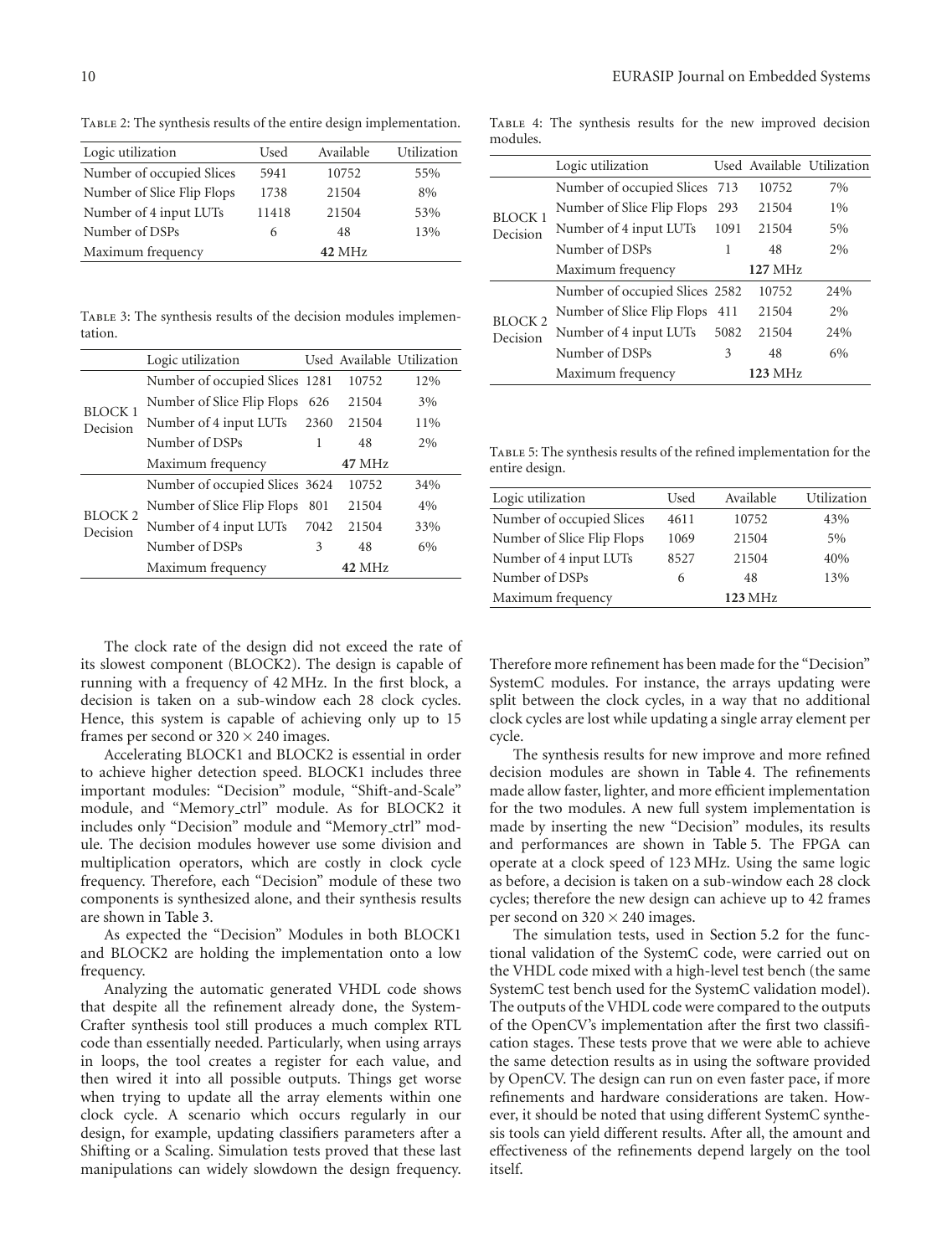TABLE 2: The synthesis results of the entire design implementation.

| Logic utilization          | Used  | Available        | Utilization |
|----------------------------|-------|------------------|-------------|
| Number of occupied Slices  | 5941  | 10752            | 55%         |
| Number of Slice Flip Flops | 1738  | 21504            | 8%          |
| Number of 4 input LUTs     | 11418 | 21504            | 53%         |
| Number of DSPs             | 6     | 48               | 13%         |
| Maximum frequency          |       | $42 \text{ MHz}$ |             |

TABLE 3: The synthesis results of the decision modules implementation.

|                                | Logic utilization              |      |          | Used Available Utilization |
|--------------------------------|--------------------------------|------|----------|----------------------------|
| BLOCK 1<br>Decision            | Number of occupied Slices 1281 |      | 10752    | 12%                        |
|                                | Number of Slice Flip Flops     | 626  | 21504    | $3\%$                      |
|                                | Number of 4 input LUTs         | 2360 | 21504    | 11%                        |
|                                | Number of DSPs                 | 1    | 48       | 2%                         |
|                                | Maximum frequency              |      | $47$ MHz |                            |
| BLOCK <sub>2</sub><br>Decision | Number of occupied Slices 3624 |      | 10752    | 34%                        |
|                                | Number of Slice Flip Flops     | 801  | 21504    | $4\%$                      |
|                                | Number of 4 input LUTs         | 7042 | 21504    | 33%                        |
|                                | Number of DSPs                 | 3    | 48       | 6%                         |
|                                | Maximum frequency              |      | $42$ MHz |                            |

The clock rate of the design did not exceed the rate of its slowest component (BLOCK2). The design is capable of running with a frequency of 42 MHz. In the first block, a decision is taken on a sub-window each 28 clock cycles. Hence, this system is capable of achieving only up to 15 frames per second or  $320 \times 240$  images.

Accelerating BLOCK1 and BLOCK2 is essential in order to achieve higher detection speed. BLOCK1 includes three important modules: "Decision" module, "Shift-and-Scale" module, and "Memory ctrl" module. As for BLOCK2 it includes only "Decision" module and "Memory ctrl" module. The decision modules however use some division and multiplication operators, which are costly in clock cycle frequency. Therefore, each "Decision" module of these two components is synthesized alone, and their synthesis results are shown in Table 3.

As expected the "Decision" Modules in both BLOCK1 and BLOCK2 are holding the implementation onto a low frequency.

Analyzing the automatic generated VHDL code shows that despite all the refinement already done, the System-Crafter synthesis tool still produces a much complex RTL code than essentially needed. Particularly, when using arrays in loops, the tool creates a register for each value, and then wired it into all possible outputs. Things get worse when trying to update all the array elements within one clock cycle. A scenario which occurs regularly in our design, for example, updating classifiers parameters after a Shifting or a Scaling. Simulation tests proved that these last manipulations can widely slowdown the design frequency.

|                                | Logic utilization              |      |                    | Used Available Utilization |
|--------------------------------|--------------------------------|------|--------------------|----------------------------|
| BLOCK 1<br>Decision            | Number of occupied Slices      | 713  | 10752              | 7%                         |
|                                | Number of Slice Flip Flops     | 293  | 21504              | $1\%$                      |
|                                | Number of 4 input LUTs         | 1091 | 21504              | 5%                         |
|                                | Number of DSPs                 | 1    | 48                 | 2%                         |
|                                | Maximum frequency              |      | $127 \mathrm{MHz}$ |                            |
| BLOCK <sub>2</sub><br>Decision | Number of occupied Slices 2582 |      | 10752              | 24%                        |
|                                | Number of Slice Flip Flops     | 411  | 21504              | 2%                         |
|                                | Number of 4 input LUTs         | 5082 | 21504              | 24%                        |
|                                | Number of DSPs                 | 3    | 48                 | 6%                         |
|                                | Maximum frequency              |      | $123 \text{ MHz}$  |                            |

Table 4: The synthesis results for the new improved decision modules.

Table 5: The synthesis results of the refined implementation for the entire design.

| Logic utilization          | Used | Available          | Utilization |
|----------------------------|------|--------------------|-------------|
| Number of occupied Slices  | 4611 | 10752              | 43%         |
| Number of Slice Flip Flops | 1069 | 21504              | $5\%$       |
| Number of 4 input LUTs     | 8527 | 21504              | 40%         |
| Number of DSPs             | 6    | 48                 | 13%         |
| Maximum frequency          |      | $123 \mathrm{MHz}$ |             |

Therefore more refinement has been made for the "Decision" SystemC modules. For instance, the arrays updating were split between the clock cycles, in a way that no additional clock cycles are lost while updating a single array element per cycle.

The synthesis results for new improve and more refined decision modules are shown in Table 4. The refinements made allow faster, lighter, and more efficient implementation for the two modules. A new full system implementation is made by inserting the new "Decision" modules, its results and performances are shown in Table 5. The FPGA can operate at a clock speed of 123 MHz. Using the same logic as before, a decision is taken on a sub-window each 28 clock cycles; therefore the new design can achieve up to 42 frames per second on  $320 \times 240$  images.

The simulation tests, used in Section 5.2 for the functional validation of the SystemC code, were carried out on the VHDL code mixed with a high-level test bench (the same SystemC test bench used for the SystemC validation model). The outputs of the VHDL code were compared to the outputs of the OpenCV's implementation after the first two classification stages. These tests prove that we were able to achieve the same detection results as in using the software provided by OpenCV. The design can run on even faster pace, if more refinements and hardware considerations are taken. However, it should be noted that using different SystemC synthesis tools can yield different results. After all, the amount and effectiveness of the refinements depend largely on the tool itself.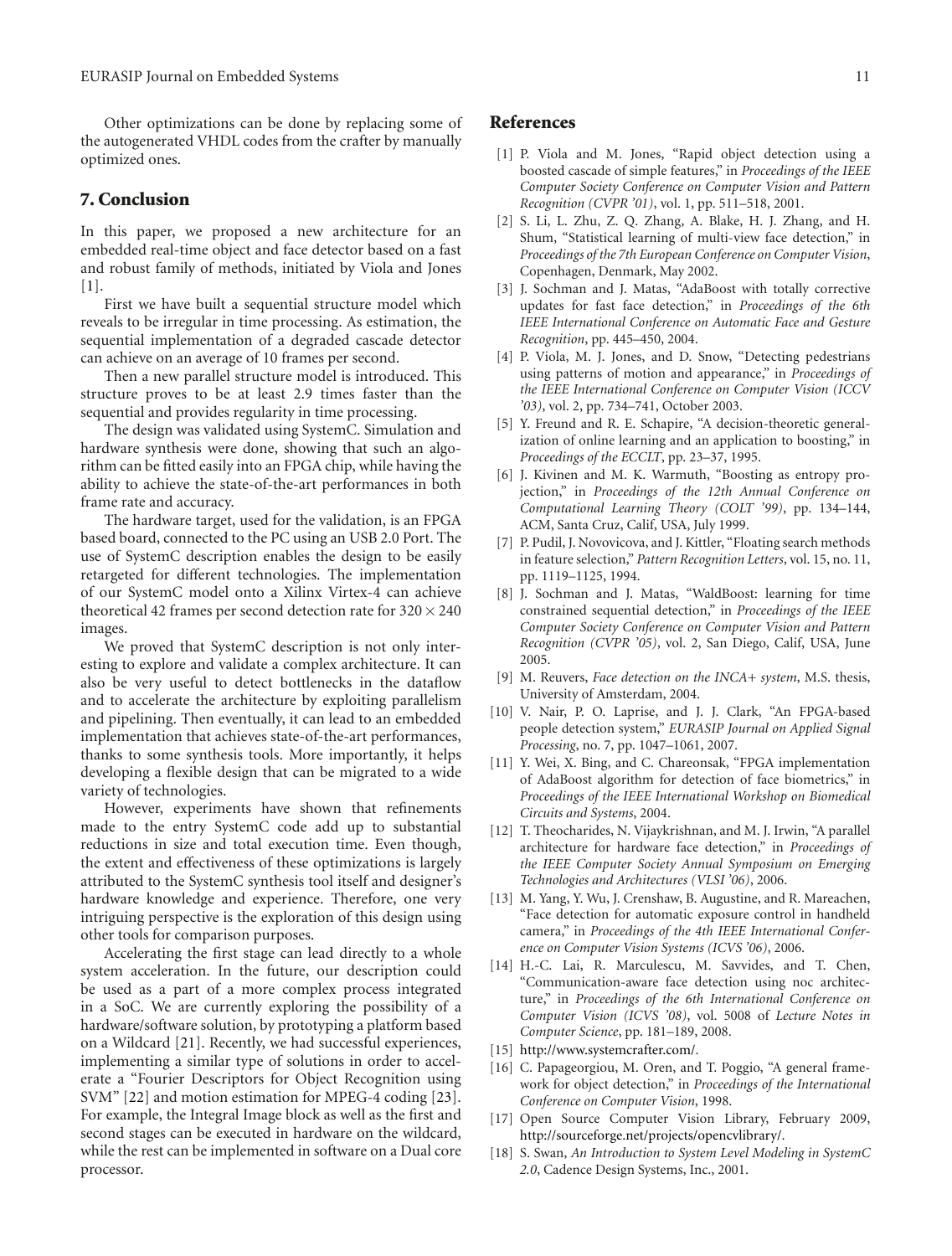Other optimizations can be done by replacing some of the autogenerated VHDL codes from the crafter by manually optimized ones.

### **7. Conclusion**

In this paper, we proposed a new architecture for an embedded real-time object and face detector based on a fast and robust family of methods, initiated by Viola and Jones  $[1]$ .

First we have built a sequential structure model which reveals to be irregular in time processing. As estimation, the sequential implementation of a degraded cascade detector can achieve on an average of 10 frames per second.

Then a new parallel structure model is introduced. This structure proves to be at least 2.9 times faster than the sequential and provides regularity in time processing.

The design was validated using SystemC. Simulation and hardware synthesis were done, showing that such an algorithm can be fitted easily into an FPGA chip, while having the ability to achieve the state-of-the-art performances in both frame rate and accuracy.

The hardware target, used for the validation, is an FPGA based board, connected to the PC using an USB 2.0 Port. The use of SystemC description enables the design to be easily retargeted for different technologies. The implementation of our SystemC model onto a Xilinx Virtex-4 can achieve theoretical 42 frames per second detection rate for  $320 \times 240$ images.

We proved that SystemC description is not only interesting to explore and validate a complex architecture. It can also be very useful to detect bottlenecks in the dataflow and to accelerate the architecture by exploiting parallelism and pipelining. Then eventually, it can lead to an embedded implementation that achieves state-of-the-art performances, thanks to some synthesis tools. More importantly, it helps developing a flexible design that can be migrated to a wide variety of technologies.

However, experiments have shown that refinements made to the entry SystemC code add up to substantial reductions in size and total execution time. Even though, the extent and effectiveness of these optimizations is largely attributed to the SystemC synthesis tool itself and designer's hardware knowledge and experience. Therefore, one very intriguing perspective is the exploration of this design using other tools for comparison purposes.

Accelerating the first stage can lead directly to a whole system acceleration. In the future, our description could be used as a part of a more complex process integrated in a SoC. We are currently exploring the possibility of a hardware/software solution, by prototyping a platform based on a Wildcard [21]. Recently, we had successful experiences, implementing a similar type of solutions in order to accelerate a "Fourier Descriptors for Object Recognition using SVM" [22] and motion estimation for MPEG-4 coding [23]. For example, the Integral Image block as well as the first and second stages can be executed in hardware on the wildcard, while the rest can be implemented in software on a Dual core processor.

#### **References**

- [1] P. Viola and M. Jones, "Rapid object detection using a boosted cascade of simple features," in *Proceedings of the IEEE Computer Society Conference on Computer Vision and Pattern Recognition (CVPR '01)*, vol. 1, pp. 511–518, 2001.
- [2] S. Li, L. Zhu, Z. Q. Zhang, A. Blake, H. J. Zhang, and H. Shum, "Statistical learning of multi-view face detection," in *Proceedings of the 7th European Conference on Computer Vision*, Copenhagen, Denmark, May 2002.
- [3] J. Sochman and J. Matas, "AdaBoost with totally corrective updates for fast face detection," in *Proceedings of the 6th IEEE International Conference on Automatic Face and Gesture Recognition*, pp. 445–450, 2004.
- [4] P. Viola, M. J. Jones, and D. Snow, "Detecting pedestrians using patterns of motion and appearance," in *Proceedings of the IEEE International Conference on Computer Vision (ICCV '03)*, vol. 2, pp. 734–741, October 2003.
- [5] Y. Freund and R. E. Schapire, "A decision-theoretic generalization of online learning and an application to boosting," in *Proceedings of the ECCLT*, pp. 23–37, 1995.
- [6] J. Kivinen and M. K. Warmuth, "Boosting as entropy projection," in *Proceedings of the 12th Annual Conference on Computational Learning Theory (COLT '99)*, pp. 134–144, ACM, Santa Cruz, Calif, USA, July 1999.
- [7] P. Pudil, J. Novovicova, and J. Kittler, "Floating search methods in feature selection," *Pattern Recognition Letters*, vol. 15, no. 11, pp. 1119–1125, 1994.
- [8] J. Sochman and J. Matas, "WaldBoost: learning for time constrained sequential detection," in *Proceedings of the IEEE Computer Society Conference on Computer Vision and Pattern Recognition (CVPR '05)*, vol. 2, San Diego, Calif, USA, June 2005.
- [9] M. Reuvers, *Face detection on the INCA+ system*, M.S. thesis, University of Amsterdam, 2004.
- [10] V. Nair, P. O. Laprise, and J. J. Clark, "An FPGA-based people detection system," *EURASIP Journal on Applied Signal Processing*, no. 7, pp. 1047–1061, 2007.
- [11] Y. Wei, X. Bing, and C. Chareonsak, "FPGA implementation of AdaBoost algorithm for detection of face biometrics," in *Proceedings of the IEEE International Workshop on Biomedical Circuits and Systems*, 2004.
- [12] T. Theocharides, N. Vijaykrishnan, and M. J. Irwin, "A parallel architecture for hardware face detection," in *Proceedings of the IEEE Computer Society Annual Symposium on Emerging Technologies and Architectures (VLSI '06)*, 2006.
- [13] M. Yang, Y. Wu, J. Crenshaw, B. Augustine, and R. Mareachen, "Face detection for automatic exposure control in handheld camera," in *Proceedings of the 4th IEEE International Conference on Computer Vision Systems (ICVS '06)*, 2006.
- [14] H.-C. Lai, R. Marculescu, M. Savvides, and T. Chen, "Communication-aware face detection using noc architecture," in *Proceedings of the 6th International Conference on Computer Vision (ICVS '08)*, vol. 5008 of *Lecture Notes in Computer Science*, pp. 181–189, 2008.
- [15] http://www.systemcrafter.com/.
- [16] C. Papageorgiou, M. Oren, and T. Poggio, "A general framework for object detection," in *Proceedings of the International Conference on Computer Vision*, 1998.
- [17] Open Source Computer Vision Library, February 2009, http://sourceforge.net/projects/opencvlibrary/.
- [18] S. Swan, *An Introduction to System Level Modeling in SystemC 2.0*, Cadence Design Systems, Inc., 2001.